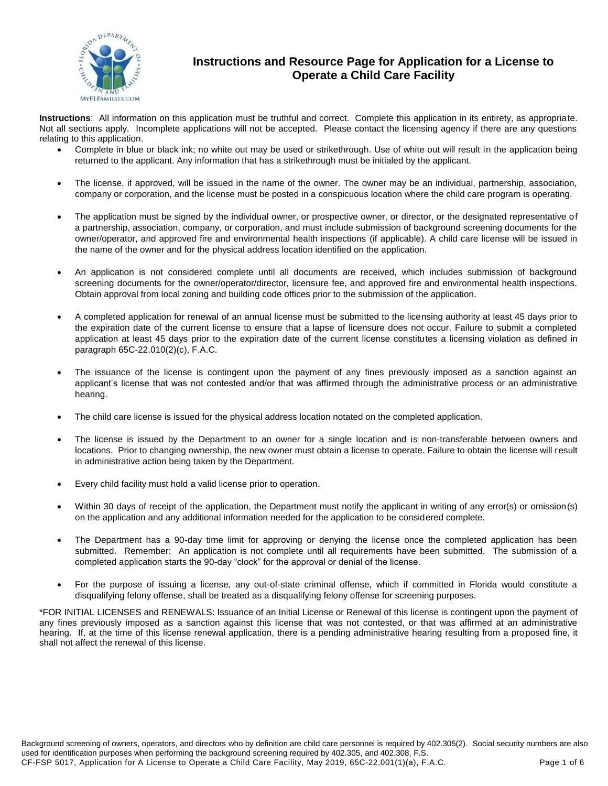

## **Instructions and Resource Page for Application for a License to Operate a Child Care Facility**

**Instructions**: All information on this application must be truthful and correct. Complete this application in its entirety, as appropriate. Not all sections apply. Incomplete applications will not be accepted. Please contact the licensing agency if there are any questions relating to this application.

- Complete in blue or black ink; no white out may be used or strikethrough. Use of white out will result in the application being returned to the applicant. Any information that has a strikethrough must be initialed by the applicant.
- The license, if approved, will be issued in the name of the owner. The owner may be an individual, partnership, association, company or corporation, and the license must be posted in a conspicuous location where the child care program is operating.
- The application must be signed by the individual owner, or prospective owner, or director, or the designated representative of a partnership, association, company, or corporation, and must include submission of background screening documents for the owner/operator, and approved fire and environmental health inspections (if applicable). A child care license will be issued in the name of the owner and for the physical address location identified on the application.
- An application is not considered complete until all documents are received, which includes submission of background screening documents for the owner/operator/director, licensure fee, and approved fire and environmental health inspections. Obtain approval from local zoning and building code offices prior to the submission of the application.
- A completed application for renewal of an annual license must be submitted to the licensing authority at least 45 days prior to the expiration date of the current license to ensure that a lapse of licensure does not occur. Failure to submit a completed application at least 45 days prior to the expiration date of the current license constitutes a licensing violation as defined in paragraph 65C-22.010(2)(c), F.A.C.
- The issuance of the license is contingent upon the payment of any fines previously imposed as a sanction against an applicant's license that was not contested and/or that was affirmed through the administrative process or an administrative hearing.
- The child care license is issued for the physical address location notated on the completed application.
- The license is issued by the Department to an owner for a single location and is non-transferable between owners and locations. Prior to changing ownership, the new owner must obtain a license to operate. Failure to obtain the license will result in administrative action being taken by the Department.
- Every child facility must hold a valid license prior to operation.
- Within 30 days of receipt of the application, the Department must notify the applicant in writing of any error(s) or omission(s) on the application and any additional information needed for the application to be considered complete.
- The Department has a 90-day time limit for approving or denying the license once the completed application has been submitted. Remember: An application is not complete until all requirements have been submitted. The submission of a completed application starts the 90-day "clock" for the approval or denial of the license.
- For the purpose of issuing a license, any out-of-state criminal offense, which if committed in Florida would constitute a disqualifying felony offense, shall be treated as a disqualifying felony offense for screening purposes.

\*FOR INITIAL LICENSES and RENEWALS: Issuance of an Initial License or Renewal of this license is contingent upon the payment of any fines previously imposed as a sanction against this license that was not contested, or that was affirmed at an administrative hearing. If, at the time of this license renewal application, there is a pending administrative hearing resulting from a proposed fine, it shall not affect the renewal of this license.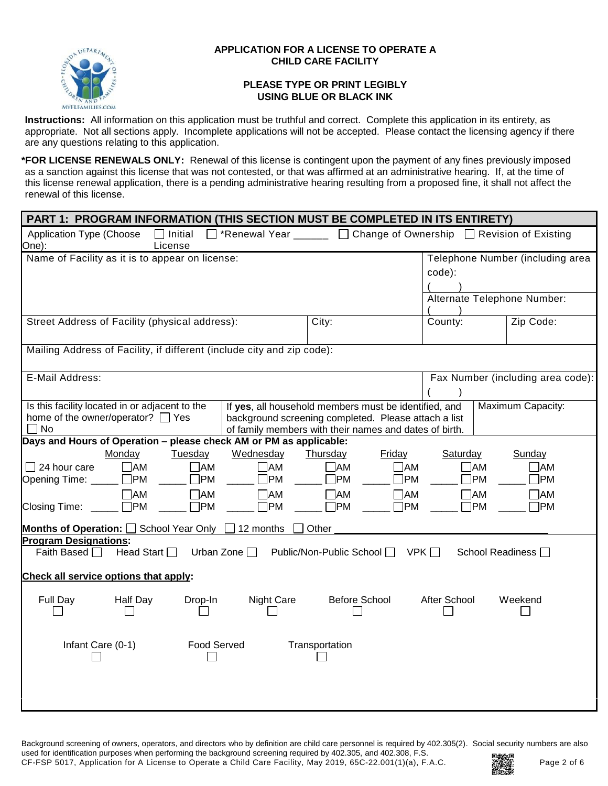

### **APPLICATION FOR A LICENSE TO OPERATE A CHILD CARE FACILITY**

### **PLEASE TYPE OR PRINT LEGIBLY USING BLUE OR BLACK INK**

**Instructions:** All information on this application must be truthful and correct. Complete this application in its entirety, as appropriate. Not all sections apply. Incomplete applications will not be accepted. Please contact the licensing agency if there are any questions relating to this application.

**\*FOR LICENSE RENEWALS ONLY:** Renewal of this license is contingent upon the payment of any fines previously imposed as a sanction against this license that was not contested, or that was affirmed at an administrative hearing. If, at the time of this license renewal application, there is a pending administrative hearing resulting from a proposed fine, it shall not affect the renewal of this license.

| PART 1: PROGRAM INFORMATION (THIS SECTION MUST BE COMPLETED IN ITS ENTIRETY)    |                                                                    |                            |              |              |              |                                   |
|---------------------------------------------------------------------------------|--------------------------------------------------------------------|----------------------------|--------------|--------------|--------------|-----------------------------------|
| Application Type (Choose<br>$\Box$ Initial<br>One):<br>License                  | □ *Renewal Year _____ □ Change of Ownership □ Revision of Existing |                            |              |              |              |                                   |
| Name of Facility as it is to appear on license:                                 |                                                                    |                            |              |              |              | Telephone Number (including area  |
|                                                                                 |                                                                    |                            |              | code):       |              |                                   |
|                                                                                 |                                                                    |                            |              |              |              |                                   |
|                                                                                 |                                                                    |                            |              |              |              | Alternate Telephone Number:       |
| Street Address of Facility (physical address):                                  |                                                                    | City:                      |              | County:      |              | Zip Code:                         |
| Mailing Address of Facility, if different (include city and zip code):          |                                                                    |                            |              |              |              |                                   |
| E-Mail Address:                                                                 |                                                                    |                            |              |              |              | Fax Number (including area code): |
|                                                                                 |                                                                    |                            |              |              |              |                                   |
| Is this facility located in or adjacent to the                                  | If yes, all household members must be identified, and              |                            |              |              |              | Maximum Capacity:                 |
| home of the owner/operator? □ Yes                                               | background screening completed. Please attach a list               |                            |              |              |              |                                   |
| $\Box$ No<br>Days and Hours of Operation - please check AM or PM as applicable: | of family members with their names and dates of birth.             |                            |              |              |              |                                   |
| Monday<br>Tuesday                                                               | Wednesday                                                          | Thursday                   | Friday       | Saturday     |              | Sunday                            |
| $\Box$ 24 hour care<br>$\Box$ AM<br>$\Box$ AM                                   | $\neg$ AM                                                          | $\neg$ AM                  | $\neg$ AM    |              | $\square$ AM | $\neg$ AM                         |
| $\square$ PM<br>$\Box$ PM<br>Opening Time: ____                                 | ไPM                                                                | 1PM                        | $\neg$ PM    |              | ]PM          | $\neg$ PM                         |
| $\Box$ AM<br>$\Box$ AM                                                          | $\neg$ AM                                                          | 7AM                        | $\neg$ AM    |              | $\Box$ AM    | $\Box$ AM                         |
| $\square$ PM<br>$\neg$ PM<br>Closing Time:                                      | $\square$ PM                                                       | <b>TPM</b>                 | $\square$ PM |              | $\square$ PM | $\neg$ PM                         |
| School Year Only<br>Months of Operation: O                                      | $\Box$ 12 months                                                   | Other                      |              |              |              |                                   |
| <b>Program Designations:</b>                                                    |                                                                    |                            |              |              |              |                                   |
| Head Start <sup>1</sup><br>Faith Based □                                        | Urban Zone $\square$                                               | Public/Non-Public School □ | VPK          |              |              | School Readiness I                |
| Check all service options that apply:                                           |                                                                    |                            |              |              |              |                                   |
| Full Day<br><b>Half Day</b><br>Drop-In                                          | <b>Night Care</b>                                                  | <b>Before School</b>       |              | After School |              | Weekend                           |
| Infant Care (0-1)<br><b>Food Served</b>                                         |                                                                    | Transportation             |              |              |              |                                   |

Background screening of owners, operators, and directors who by definition are child care personnel is required by 402.305(2). Social security numbers are also used for identification purposes when performing the background screening required by 402.305, and 402.308, F.S.

CF-FSP 5017, Application for A License to Operate a Child Care Facility, May 2019, 65C-22.001(1)(a), F.A.C. **Page 2 of 6** 

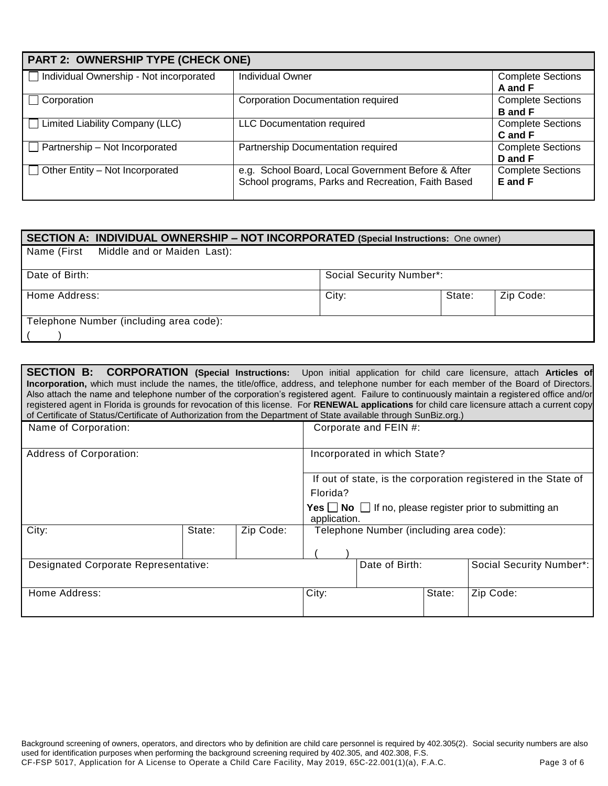| PART 2: OWNERSHIP TYPE (CHECK ONE)      |                                                                                                          |                                            |  |  |
|-----------------------------------------|----------------------------------------------------------------------------------------------------------|--------------------------------------------|--|--|
| Individual Ownership - Not incorporated | <b>Individual Owner</b>                                                                                  | <b>Complete Sections</b><br>A and F        |  |  |
| Corporation                             | <b>Corporation Documentation required</b>                                                                | <b>Complete Sections</b><br><b>B</b> and F |  |  |
| Limited Liability Company (LLC)         | <b>LLC Documentation required</b>                                                                        | <b>Complete Sections</b><br>C and F        |  |  |
| Partnership - Not Incorporated          | Partnership Documentation required                                                                       | <b>Complete Sections</b><br>D and F        |  |  |
| Other Entity - Not Incorporated         | e.g. School Board, Local Government Before & After<br>School programs, Parks and Recreation, Faith Based | <b>Complete Sections</b><br>E and F        |  |  |

| SECTION A: INDIVIDUAL OWNERSHIP - NOT INCORPORATED (Special Instructions: One owner) |                                 |        |           |  |
|--------------------------------------------------------------------------------------|---------------------------------|--------|-----------|--|
| Name (First Middle and or Maiden Last):                                              |                                 |        |           |  |
| Date of Birth:                                                                       | <b>Social Security Number*:</b> |        |           |  |
| Home Address:                                                                        | City:                           | State: | Zip Code: |  |
| Telephone Number (including area code):                                              |                                 |        |           |  |

| SECTION B: CORPORATION (Special Instructions: Upon initial application for child care licensure, attach Articles of<br><b>Incorporation</b> , which must include the names, the title/office, address, and telephone number for each member of the Board of Directors.<br>Also attach the name and telephone number of the corporation's registered agent. Failure to continuously maintain a registered office and/or<br>registered agent in Florida is grounds for revocation of this license. For RENEWAL applications for child care licensure attach a current copy<br>of Certificate of Status/Certificate of Authorization from the Department of State available through SunBiz.org.) |        |           |              |                                         |        |                                                                                  |
|-----------------------------------------------------------------------------------------------------------------------------------------------------------------------------------------------------------------------------------------------------------------------------------------------------------------------------------------------------------------------------------------------------------------------------------------------------------------------------------------------------------------------------------------------------------------------------------------------------------------------------------------------------------------------------------------------|--------|-----------|--------------|-----------------------------------------|--------|----------------------------------------------------------------------------------|
| Name of Corporation:                                                                                                                                                                                                                                                                                                                                                                                                                                                                                                                                                                                                                                                                          |        |           |              | Corporate and FEIN #:                   |        |                                                                                  |
| <b>Address of Corporation:</b>                                                                                                                                                                                                                                                                                                                                                                                                                                                                                                                                                                                                                                                                |        |           |              | Incorporated in which State?            |        |                                                                                  |
|                                                                                                                                                                                                                                                                                                                                                                                                                                                                                                                                                                                                                                                                                               |        |           |              |                                         |        | If out of state, is the corporation registered in the State of                   |
|                                                                                                                                                                                                                                                                                                                                                                                                                                                                                                                                                                                                                                                                                               |        |           | Florida?     |                                         |        |                                                                                  |
|                                                                                                                                                                                                                                                                                                                                                                                                                                                                                                                                                                                                                                                                                               |        |           | application. |                                         |        | <b>Yes</b> $\Box$ <b>No</b> $\Box$ If no, please register prior to submitting an |
| City:                                                                                                                                                                                                                                                                                                                                                                                                                                                                                                                                                                                                                                                                                         | State: | Zip Code: |              | Telephone Number (including area code): |        |                                                                                  |
| <b>Designated Corporate Representative:</b>                                                                                                                                                                                                                                                                                                                                                                                                                                                                                                                                                                                                                                                   |        |           |              | Date of Birth:                          |        | Social Security Number*:                                                         |
|                                                                                                                                                                                                                                                                                                                                                                                                                                                                                                                                                                                                                                                                                               |        |           |              |                                         |        |                                                                                  |
| Home Address:                                                                                                                                                                                                                                                                                                                                                                                                                                                                                                                                                                                                                                                                                 |        |           | City:        |                                         | State: | Zip Code:                                                                        |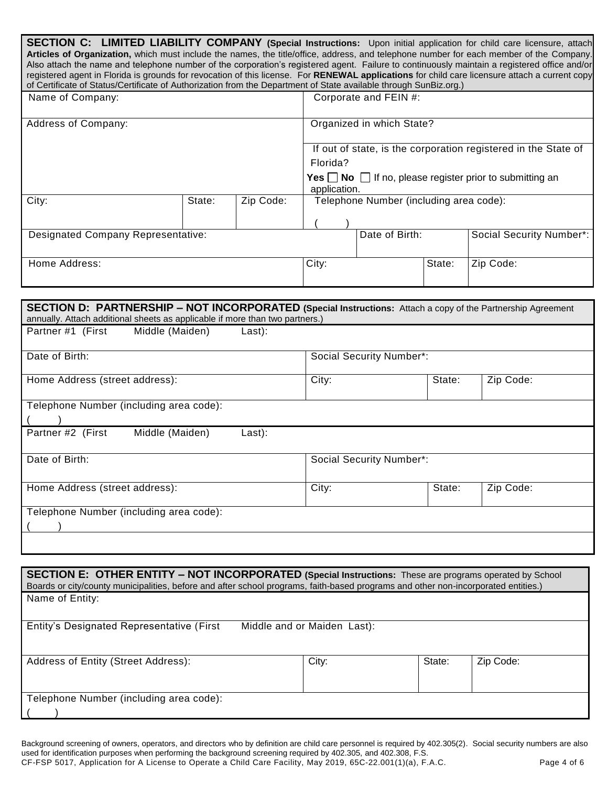| SECTION C: LIMITED LIABILITY COMPANY (Special Instructions: Upon initial application for child care licensure, attach<br>Articles of Organization, which must include the names, the title/office, address, and telephone number for each member of the Company.<br>Also attach the name and telephone number of the corporation's registered agent. Failure to continuously maintain a registered office and/or<br>registered agent in Florida is grounds for revocation of this license. For RENEWAL applications for child care licensure attach a current copy<br>of Certificate of Status/Certificate of Authorization from the Department of State available through SunBiz.org.) |        |           |              |                                         |        |                                                                                  |
|-----------------------------------------------------------------------------------------------------------------------------------------------------------------------------------------------------------------------------------------------------------------------------------------------------------------------------------------------------------------------------------------------------------------------------------------------------------------------------------------------------------------------------------------------------------------------------------------------------------------------------------------------------------------------------------------|--------|-----------|--------------|-----------------------------------------|--------|----------------------------------------------------------------------------------|
| Name of Company:                                                                                                                                                                                                                                                                                                                                                                                                                                                                                                                                                                                                                                                                        |        |           |              | Corporate and FEIN #:                   |        |                                                                                  |
| Address of Company:                                                                                                                                                                                                                                                                                                                                                                                                                                                                                                                                                                                                                                                                     |        |           |              | Organized in which State?               |        |                                                                                  |
|                                                                                                                                                                                                                                                                                                                                                                                                                                                                                                                                                                                                                                                                                         |        |           |              |                                         |        | If out of state, is the corporation registered in the State of                   |
|                                                                                                                                                                                                                                                                                                                                                                                                                                                                                                                                                                                                                                                                                         |        |           | Florida?     |                                         |        | <b>Yes</b> $\Box$ <b>No</b> $\Box$ If no, please register prior to submitting an |
|                                                                                                                                                                                                                                                                                                                                                                                                                                                                                                                                                                                                                                                                                         |        |           | application. |                                         |        |                                                                                  |
| City:                                                                                                                                                                                                                                                                                                                                                                                                                                                                                                                                                                                                                                                                                   | State: | Zip Code: |              | Telephone Number (including area code): |        |                                                                                  |
|                                                                                                                                                                                                                                                                                                                                                                                                                                                                                                                                                                                                                                                                                         |        |           |              |                                         |        |                                                                                  |
| <b>Designated Company Representative:</b>                                                                                                                                                                                                                                                                                                                                                                                                                                                                                                                                                                                                                                               |        |           |              | Date of Birth:                          |        | Social Security Number*:                                                         |
|                                                                                                                                                                                                                                                                                                                                                                                                                                                                                                                                                                                                                                                                                         |        |           |              |                                         |        |                                                                                  |
| Home Address:                                                                                                                                                                                                                                                                                                                                                                                                                                                                                                                                                                                                                                                                           |        |           | City:        |                                         | State: | Zip Code:                                                                        |
|                                                                                                                                                                                                                                                                                                                                                                                                                                                                                                                                                                                                                                                                                         |        |           |              |                                         |        |                                                                                  |
| SECTION D: PARTNERSHIP - NOT INCORPORATED (Special Instructions: Attach a copy of the Partnership Agreement<br>annually. Attach additional sheets as applicable if more than two partners.)                                                                                                                                                                                                                                                                                                                                                                                                                                                                                             |        |           |              |                                         |        |                                                                                  |
| Partner #1 (First<br>Middle (Maiden)                                                                                                                                                                                                                                                                                                                                                                                                                                                                                                                                                                                                                                                    |        | Last):    |              |                                         |        |                                                                                  |
| Date of Birth:                                                                                                                                                                                                                                                                                                                                                                                                                                                                                                                                                                                                                                                                          |        |           |              | Social Security Number*:                |        |                                                                                  |
| Home Address (street address):                                                                                                                                                                                                                                                                                                                                                                                                                                                                                                                                                                                                                                                          |        |           | City:        |                                         | State: | Zip Code:                                                                        |
| Telephone Number (including area code):                                                                                                                                                                                                                                                                                                                                                                                                                                                                                                                                                                                                                                                 |        |           |              |                                         |        |                                                                                  |
| Middle (Maiden)<br>Partner #2 (First                                                                                                                                                                                                                                                                                                                                                                                                                                                                                                                                                                                                                                                    |        | Last):    |              |                                         |        |                                                                                  |
|                                                                                                                                                                                                                                                                                                                                                                                                                                                                                                                                                                                                                                                                                         |        |           |              |                                         |        |                                                                                  |
| Date of Birth:                                                                                                                                                                                                                                                                                                                                                                                                                                                                                                                                                                                                                                                                          |        |           |              | Social Security Number*:                |        |                                                                                  |
| Home Address (street address):                                                                                                                                                                                                                                                                                                                                                                                                                                                                                                                                                                                                                                                          |        |           | City:        |                                         | State: | Zip Code:                                                                        |
| Telephone Number (including area code):                                                                                                                                                                                                                                                                                                                                                                                                                                                                                                                                                                                                                                                 |        |           |              |                                         |        |                                                                                  |
|                                                                                                                                                                                                                                                                                                                                                                                                                                                                                                                                                                                                                                                                                         |        |           |              |                                         |        |                                                                                  |

| SECTION E: OTHER ENTITY - NOT INCORPORATED (Special Instructions: These are programs operated by School<br>Boards or city/county municipalities, before and after school programs, faith-based programs and other non-incorporated entities.) |                             |        |           |
|-----------------------------------------------------------------------------------------------------------------------------------------------------------------------------------------------------------------------------------------------|-----------------------------|--------|-----------|
| Name of Entity:                                                                                                                                                                                                                               |                             |        |           |
| Entity's Designated Representative (First                                                                                                                                                                                                     | Middle and or Maiden Last): |        |           |
| Address of Entity (Street Address):                                                                                                                                                                                                           | City:                       | State: | Zip Code: |
| Telephone Number (including area code):                                                                                                                                                                                                       |                             |        |           |

Background screening of owners, operators, and directors who by definition are child care personnel is required by 402.305(2). Social security numbers are also used for identification purposes when performing the background screening required by 402.305, and 402.308, F.S.

CF-FSP 5017, Application for A License to Operate a Child Care Facility, May 2019, 65C-22.001(1)(a), F.A.C. Page 4 of 6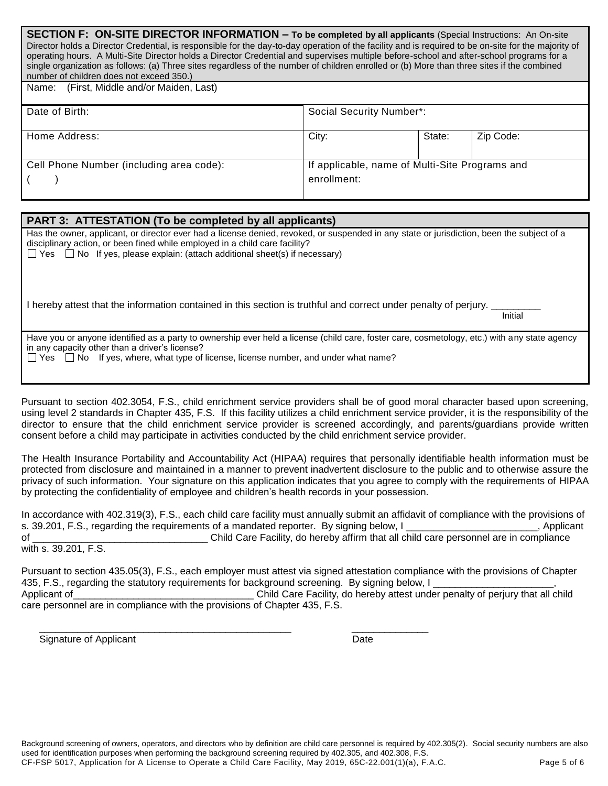| <b>SECTION F: ON-SITE DIRECTOR INFORMATION – To be completed by all applicants (Special Instructions: An On-site</b>                                |
|-----------------------------------------------------------------------------------------------------------------------------------------------------|
| Director holds a Director Credential, is responsible for the day-to-day operation of the facility and is required to be on-site for the majority of |
| operating hours. A Multi-Site Director holds a Director Credential and supervises multiple before-school and after-school programs for a            |
| single organization as follows: (a) Three sites regardless of the number of children enrolled or (b) More than three sites if the combined          |
| number of children does not exceed 350.)                                                                                                            |
|                                                                                                                                                     |

| (First, Middle and/or Maiden, Last)<br>Name: |                                                               |        |           |
|----------------------------------------------|---------------------------------------------------------------|--------|-----------|
| Date of Birth:                               | Social Security Number*:                                      |        |           |
| Home Address:                                | City:                                                         | State: | Zip Code: |
| Cell Phone Number (including area code):     | If applicable, name of Multi-Site Programs and<br>enrollment: |        |           |

# **PART 3: ATTESTATION (To be completed by all applicants)**

Has the owner, applicant, or director ever had a license denied, revoked, or suspended in any state or jurisdiction, been the subject of a disciplinary action, or been fined while employed in a child care facility?  $\Box$  Yes  $\Box$  No If yes, please explain: (attach additional sheet(s) if necessary)

I hereby attest that the information contained in this section is truthful and correct under penalty of perjury.

initial control of the control of the control of the control of the control of the control of the control of t

Have you or anyone identified as a party to ownership ever held a license (child care, foster care, cosmetology, etc.) with any state agency in any capacity other than a driver's license?

 $\Box$  Yes  $\Box$  No If yes, where, what type of license, license number, and under what name?

Pursuant to section 402.3054, F.S., child enrichment service providers shall be of good moral character based upon screening, using level 2 standards in Chapter 435, F.S. If this facility utilizes a child enrichment service provider, it is the responsibility of the director to ensure that the child enrichment service provider is screened accordingly, and parents/guardians provide written consent before a child may participate in activities conducted by the child enrichment service provider.

The Health Insurance Portability and Accountability Act (HIPAA) requires that personally identifiable health information must be protected from disclosure and maintained in a manner to prevent inadvertent disclosure to the public and to otherwise assure the privacy of such information. Your signature on this application indicates that you agree to comply with the requirements of HIPAA by protecting the confidentiality of employee and children's health records in your possession.

In accordance with 402.319(3), F.S., each child care facility must annually submit an affidavit of compliance with the provisions of s. 39.201, F.S., regarding the requirements of a mandated reporter. By signing below, I \_\_\_\_\_\_\_\_\_\_\_\_\_\_\_, Applicant of \_\_\_\_\_\_\_\_\_\_\_\_\_\_\_\_\_\_\_\_\_\_\_\_\_\_\_\_\_\_\_\_ Child Care Facility, do hereby affirm that all child care personnel are in compliance with s. 39.201, F.S.

Pursuant to section 435.05(3), F.S., each employer must attest via signed attestation compliance with the provisions of Chapter 435, F.S., regarding the statutory requirements for background screening. By signing below, I Applicant of **Exercic Contract Contract Contract Care** Facility, do hereby attest under penalty of perjury that all child care personnel are in compliance with the provisions of Chapter 435, F.S.

\_\_\_\_\_\_\_\_\_\_\_\_\_\_\_\_\_\_\_\_\_\_\_\_\_\_\_\_\_\_\_\_\_\_\_\_\_\_\_\_\_\_\_\_\_\_ \_\_\_\_\_\_\_\_\_\_\_\_\_\_ Signature of Applicant Date Date Date Date Date